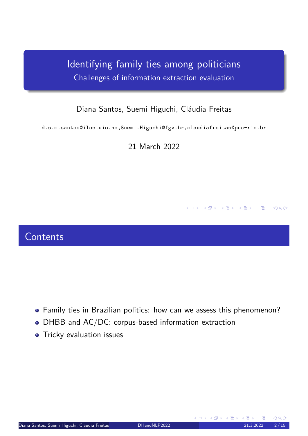Identifying family ties among politicians Challenges of information extraction evaluation

#### Diana Santos, Suemi Higuchi, Cláudia Freitas

d.s.m.santos@ilos.uio.no,Suemi.Higuchi@fgv.br,claudiafreitas@puc-rio.br

21 March 2022

#### **Contents**

- <span id="page-0-0"></span>Family ties in Brazilian politics: how can we assess this phenomenon?
- DHBB and AC/DC: corpus-based information extraction
- **•** Tricky evaluation issues

**K ロ ▶ | K 伊 ▶ | K ヨ ▶ | K ヨ ▶** 

 $DQ$ 

一番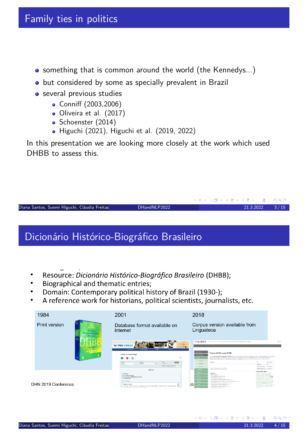- something that is common around the world (the Kennedys...)
- but considered by some as specially prevalent in Brazil
- **o** several previous studies
	- Conniff (2003,2006)
	- Oliveira et al. (2017)
	- Schoenster (2014)
	- Higuchi (2021), Higuchi et al. (2019, 2022)

In this presentation we are looking more closely at the work which used DHBB to assess this

Diana Santos, Suemi Higuchi, Cláudia Freitas (UiO) DHandNLP2022 21.3.2022 21.3.2022 3/15

# Dicionário Histórico-Biográfico Brasileiro

- Resource: Dicionário Histórico-Biográfico Brasileiro (DHBB);
- Biographical and thematic entries;  $\bullet$
- Domain: Contemporary political history of Brazil (1930-);  $\bullet$
- A reference work for historians, political scientists, journalists, etc.

<span id="page-1-0"></span>

◆ロト→ 伊ト→ 君ト→ 君トー

G.

 $2Q$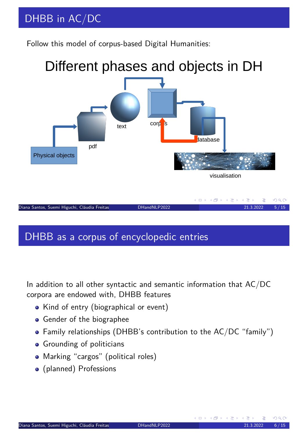# DHBB in AC/DC

Follow this model of corpus-based Digital Humanities:



# DHBB as a corpus of encyclopedic entries

<span id="page-2-0"></span>In addition to all other syntactic and semantic information that AC/DC corpora are endowed with, DHBB features

- Kind of entry (biographical or event)
- **•** Gender of the biographee
- Family relationships (DHBB's contribution to the AC/DC "family")
- **•** Grounding of politicians
- Marking "cargos" (political roles)
- (planned) Professions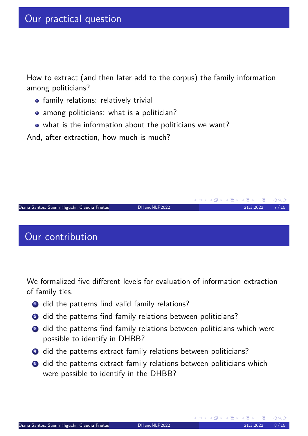How to extract (and then later add to the corpus) the family information among politicians?

- **•** family relations: relatively trivial
- among politicians: what is a politician?
- what is the information about the politicians we want?

And, after extraction, how much is much?



<span id="page-3-0"></span>We formalized five different levels for evaluation of information extraction of family ties.

- **1** did the patterns find valid family relations?
- 2 did the patterns find family relations between politicians?
- <sup>3</sup> did the patterns find family relations between politicians which were possible to identify in DHBB?
- 4 did the patterns extract family relations between politicians?
- **5** did the patterns extract family relations between politicians which were possible to identify in the DHBB?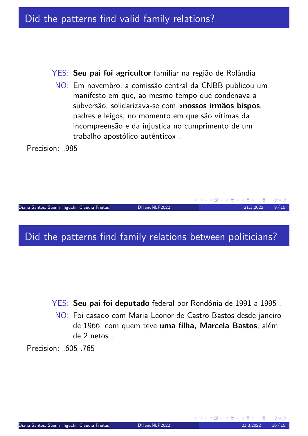#### Did the patterns find valid family relations?

YES: **Seu pai foi agricultor** familiar na região de Rolândia

NO: Em novembro, a comissão central da CNBB publicou um manifesto em que, ao mesmo tempo que condenava a subversão, solidarizava-se com «**nossos irmãos bispos**, padres e leigos, no momento em que são vítimas da incompreensão e da injustiça no cumprimento de um trabalho apostólico autêntico» .

Precision: .985



#### Did the patterns find family relations between politicians?

<span id="page-4-0"></span>YES: **Seu pai foi deputado** federal por Rondônia de 1991 a 1995 .

NO: Foi casado com Maria Leonor de Castro Bastos desde janeiro de 1966, com quem teve **uma filha, Marcela Bastos**, além de 2 netos .

Precision: .605 .765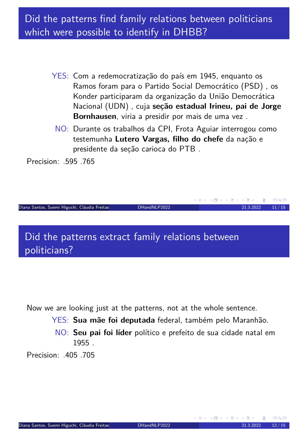## Did the patterns find family relations between politicians which were possible to identify in DHBB?

- YES: Com a redemocratização do país em 1945, enquanto os Ramos foram para o Partido Social Democrático (PSD) , os Konder participaram da organização da União Democrática Nacional (UDN) , cuja **seção estadual Irineu, pai de Jorge Bornhausen**, viria a presidir por mais de uma vez .
- NO: Durante os trabalhos da CPI, Frota Aguiar interrogou como testemunha **Lutero Vargas, filho do chefe** da nação e presidente da seção carioca do PTB .

Precision: .595 .765

Diana Santos, Suemi Higuchi, Cláudia Freitas (UiO) DHandNLP2022 21.3.2021 11/15

Did the patterns extract family relations between politicians?

<span id="page-5-0"></span>Now we are looking just at the patterns, not at the whole sentence.

- YES: **Sua mãe foi deputada** federal, também pelo Maranhão.
- NO: **Seu pai foi líder** político e prefeito de sua cidade natal em 1955 .

Precision: 405 705

**K ロ ▶ K 御 ▶ K 君 ▶ K 君 ▶**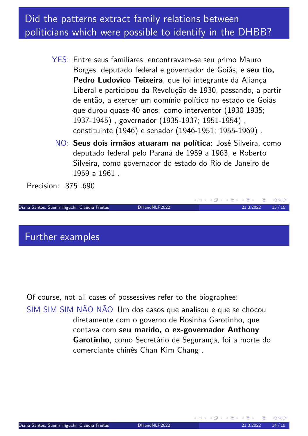## Did the patterns extract family relations between politicians which were possible to identify in the DHBB?

- YES: Entre seus familiares, encontravam-se seu primo Mauro Borges, deputado federal e governador de Goiás, e **seu tio, Pedro Ludovico Teixeira**, que foi integrante da Aliança Liberal e participou da Revolução de 1930, passando, a partir de então, a exercer um domínio político no estado de Goiás que durou quase 40 anos: como interventor (1930-1935; 1937-1945) , governador (1935-1937; 1951-1954) , constituinte (1946) e senador (1946-1951; 1955-1969) .
	- NO: **Seus dois irmãos atuaram na política**: José Silveira, como deputado federal pelo Paraná de 1959 a 1963, e Roberto Silveira, como governador do estado do Rio de Janeiro de 1959 a 1961 .

Precision: .375 .690

Diana Santos, Suemi Higuchi, Cláudia Freitas (UiO) DHandNLP2022 21.3.2022 13/15

Further examples

<span id="page-6-0"></span>Of course, not all cases of possessives refer to the biographee:

SIM SIM SIM NÃO NÃO Um dos casos que analisou e que se chocou diretamente com o governo de Rosinha Garotinho, que contava com **seu marido, o ex-governador Anthony Garotinho**, como Secretário de Segurança, foi a morte do comerciante chinês Chan Kim Chang .

K ロ ▶ K @ ▶ K 경 ▶ K 경 ▶ │ 경

 $OQ$